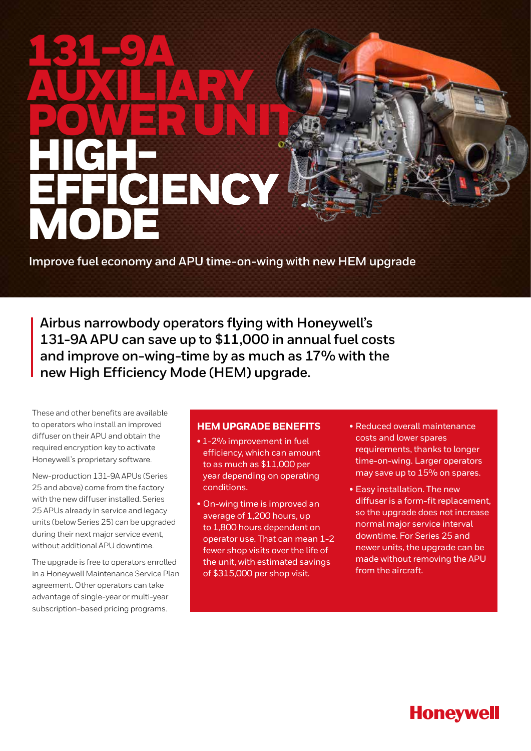# 131-9A AUXIERAY POWER UNITS HIGH-CIENCY MODE

**Improve fuel economy and APU time-on-wing with new HEM upgrade** 

**Airbus narrowbody operators flying with Honeywell's 131-9A APU can save up to \$11,000 in annual fuel costs and improve on-wing-time by as much as 17% with the new High Efficiency Mode (HEM) upgrade.** 

These and other benefits are available to operators who install an improved diffuser on their APU and obtain the required encryption key to activate Honeywell's proprietary software.

New-production 131-9A APUs (Series 25 and above) come from the factory with the new diffuser installed. Series 25 APUs already in service and legacy units (below Series 25) can be upgraded during their next major service event, without additional APU downtime.

The upgrade is free to operators enrolled in a Honeywell Maintenance Service Plan agreement. Other operators can take advantage of single-year or multi-year subscription-based pricing programs.

### **HEM UPGRADE BENEFITS**

- 1-2% improvement in fuel efficiency, which can amount to as much as \$11,000 per year depending on operating conditions.
- On-wing time is improved an average of 1,200 hours, up to 1,800 hours dependent on operator use. That can mean 1-2 fewer shop visits over the life of the unit, with estimated savings of \$315,000 per shop visit.
- Reduced overall maintenance costs and lower spares requirements, thanks to longer time-on-wing. Larger operators may save up to 15% on spares.
- Easy installation. The new diffuser is a form-fit replacement, so the upgrade does not increase normal major service interval downtime. For Series 25 and newer units, the upgrade can be made without removing the APU from the aircraft.

## **Honeywell**